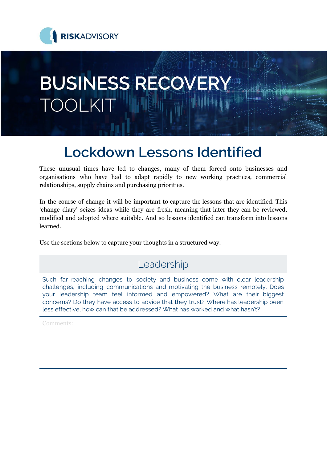

# **BUSINESS RECOVERY TOOLKIT**

# **Lockdown Lessons Identified**

These unusual times have led to changes, many of them forced onto businesses and organisations who have had to adapt rapidly to new working practices, commercial relationships, supply chains and purchasing priorities.

In the course of change it will be important to capture the lessons that are identified. This 'change diary' seizes ideas while they are fresh, meaning that later they can be reviewed, modified and adopted where suitable. And so lessons identified can transform into lessons learned.

Use the sections below to capture your thoughts in a structured way.

# Leadership

Such far-reaching changes to society and business come with clear leadership challenges, including communications and motivating the business remotely. Does your leadership team feel informed and empowered? What are their biggest concerns? Do they have access to advice that they trust? Where has leadership been less effective, how can that be addressed? What has worked and what hasn't?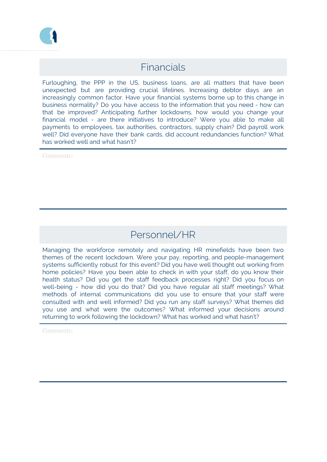

#### Financials

Furloughing, the PPP in the US, business loans, are all matters that have been unexpected but are providing crucial lifelines. Increasing debtor days are an increasingly common factor. Have your financial systems borne up to this change in business normality? Do you have access to the information that you need - how can that be improved? Anticipating further lockdowns, how would you change your financial model - are there initiatives to introduce? Were you able to make all payments to employees, tax authorities, contractors, supply chain? Did payroll work well? Did everyone have their bank cards, did account redundancies function? What has worked well and what hasn't?

Comments:

### Personnel/HR

Managing the workforce remotely and navigating HR minefields have been two themes of the recent lockdown. Were your pay, reporting, and people-management systems sufficiently robust for this event? Did you have well thought out working from home policies? Have you been able to check in with your staff, do you know their health status? Did you get the staff feedback processes right? Did you focus on well-being - how did you do that? Did you have regular all staff meetings? What methods of internal communications did you use to ensure that your staff were consulted with and well informed? Did you run any staff surveys? What themes did you use and what were the outcomes? What informed your decisions around returning to work following the lockdown? What has worked and what hasn't?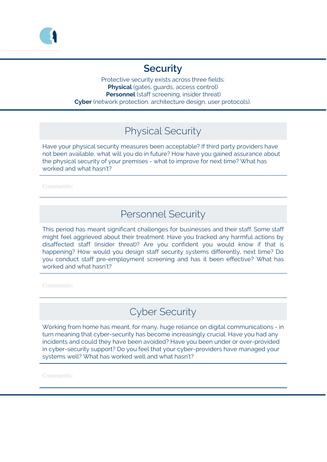

#### **Security**

Protective security exists across three fields: **Physical** (gates, guards, access control) **Personnel** (staff screening, insider threat) **Cyber** (network protection, architecture design, user protocols).

## Physical Security

Have your physical security measures been acceptable? If third party providers have not been available, what will you do in future? How have you gained assurance about the physical security of your premises - what to improve for next time? What has worked and what hasn't?

Comments:

#### Personnel Security

This period has meant significant challenges for businesses and their staff. Some staff might feel aggrieved about their treatment. Have you tracked any harmful actions by disaffected staff (insider threat)? Are you confident you would know if that is happening? How would you design staff security systems differently, next time? Do you conduct staff pre-employment screening and has it been effective? What has worked and what hasn't?

Comments:

# Cyber Security

Working from home has meant, for many, huge reliance on digital communications - in turn meaning that cyber-security has become increasingly crucial. Have you had any incidents and could they have been avoided? Have you been under or over-provided in cyber-security support? Do you feel that your cyber-providers have managed your systems well? What has worked well and what hasn't?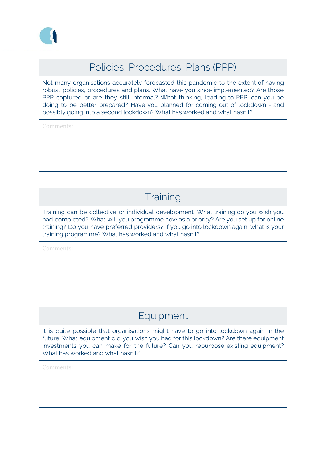

#### Policies, Procedures, Plans (PPP)

Not many organisations accurately forecasted this pandemic to the extent of having robust policies, procedures and plans. What have you since implemented? Are those PPP captured or are they still informal? What thinking, leading to PPP, can you be doing to be better prepared? Have you planned for coming out of lockdown - and possibly going into a second lockdown? What has worked and what hasn't?

Comments:

# **Training**

Training can be collective or individual development. What training do you wish you had completed? What will you programme now as a priority? Are you set up for online training? Do you have preferred providers? If you go into lockdown again, what is your training programme? What has worked and what hasn't?

Comments:

## Equipment

It is quite possible that organisations might have to go into lockdown again in the future. What equipment did you wish you had for this lockdown? Are there equipment investments you can make for the future? Can you repurpose existing equipment? What has worked and what hasn't?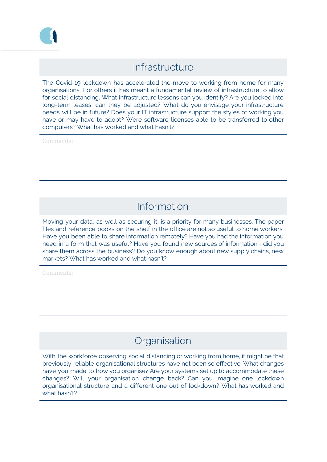

#### Infrastructure

The Covid-19 lockdown has accelerated the move to working from home for many organisations. For others it has meant a fundamental review of infrastructure to allow for social distancing. What infrastructure lessons can you identify? Are you locked into long-term leases, can they be adjusted? What do you envisage your infrastructure needs will be in future? Does your IT infrastructure support the styles of working you have or may have to adopt? Were software licenses able to be transferred to other computers? What has worked and what hasn't?

Comments:

# Information

Moving your data, as well as securing it, is a priority for many businesses. The paper files and reference books on the shelf in the office are not so useful to home workers. Have you been able to share information remotely? Have you had the information you need in a form that was useful? Have you found new sources of information - did you share them across the business? Do you know enough about new supply chains, new markets? What has worked and what hasn't?

Comments:

#### **Organisation**

With the workforce observing social distancing or working from home, it might be that previously reliable organisational structures have not been so effective. What changes have you made to how you organise? Are your systems set up to accommodate these changes? Will your organisation change back? Can you imagine one lockdown organisational structure and a different one out of lockdown? What has worked and what hasn't?